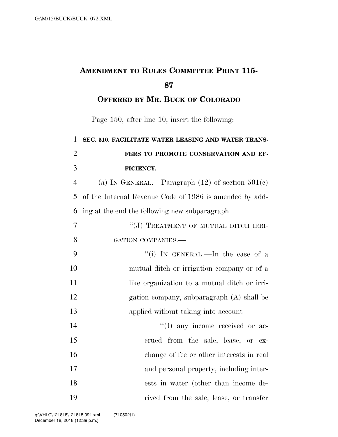## **AMENDMENT TO RULES COMMITTEE PRINT 115-**

**OFFERED BY MR. BUCK OF COLORADO**

Page 150, after line 10, insert the following:

 **SEC. 510. FACILITATE WATER LEASING AND WATER TRANS- FERS TO PROMOTE CONSERVATION AND EF- FICIENCY.**  (a) IN GENERAL.—Paragraph (12) of section 501(c) of the Internal Revenue Code of 1986 is amended by add-

ing at the end the following new subparagraph:

| 7  | "(J) TREATMENT OF MUTUAL DITCH IRRI-         |
|----|----------------------------------------------|
| 8  | GATION COMPANIES.-                           |
| 9  | "(i) IN GENERAL.—In the case of a            |
| 10 | mutual ditch or irrigation company or of a   |
| 11 | like organization to a mutual ditch or irri- |
| 12 | gation company, subparagraph (A) shall be    |
| 13 | applied without taking into account—         |
| 14 | $\lq\lq$ (I) any income received or ac-      |
| 15 | crued from the sale, lease, or ex-           |
| 16 | change of fee or other interests in real     |
| 17 | and personal property, including inter-      |
| 18 | ests in water (other than income de-         |
| 19 | rived from the sale, lease, or transfer      |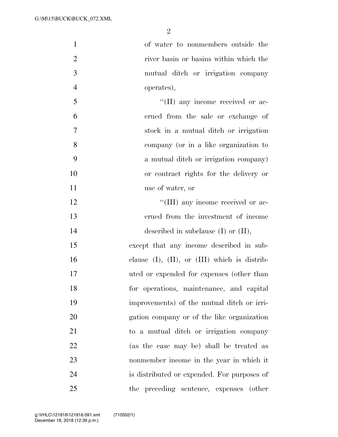| $\mathbf{1}$   | of water to nonmembers outside the                   |
|----------------|------------------------------------------------------|
| $\overline{2}$ | river basin or basins within which the               |
| 3              | mutual ditch or irrigation company                   |
| $\overline{4}$ | operates),                                           |
| 5              | $\lq\lq$ (II) any income received or ac-             |
| 6              | crued from the sale or exchange of                   |
| 7              | stock in a mutual ditch or irrigation                |
| 8              | company (or in a like organization to                |
| 9              | a mutual ditch or irrigation company)                |
| 10             | or contract rights for the delivery or               |
| 11             | use of water, or                                     |
| 12             | "(III) any income received or ac-                    |
| 13             | erued from the investment of income                  |
| 14             | described in subclause $(I)$ or $(II)$ ,             |
| 15             | except that any income described in sub-             |
| 16             | clause $(I)$ , $(II)$ , or $(III)$ which is distrib- |
| 17             | uted or expended for expenses (other than            |
| 18             | for operations, maintenance, and capital             |
| 19             | improvements) of the mutual ditch or irri-           |
| 20             | gation company or of the like organization           |
| 21             | to a mutual ditch or irrigation company              |
| 22             | (as the case may be) shall be treated as             |
| 23             | nonmember income in the year in which it             |
| 24             | is distributed or expended. For purposes of          |
| 25             | the preceding sentence, expenses (other              |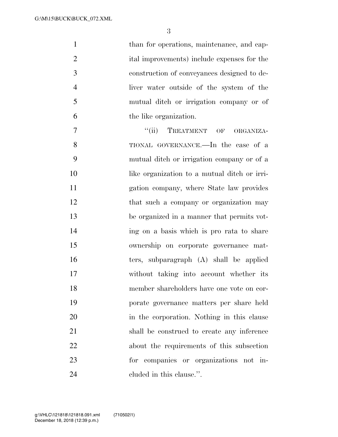| $\mathbf{1}$   | than for operations, maintenance, and cap-      |
|----------------|-------------------------------------------------|
| $\overline{2}$ | ital improvements) include expenses for the     |
| 3              | construction of conveyances designed to de-     |
| $\overline{4}$ | liver water outside of the system of the        |
| 5              | mutual ditch or irrigation company or of        |
| 6              | the like organization.                          |
| $\tau$         | TREATMENT OF<br>$\lq(\mathbf{ii})$<br>ORGANIZA- |
| 8              | TIONAL GOVERNANCE.—In the case of a             |
| 9              | mutual ditch or irrigation company or of a      |
| 10             | like organization to a mutual ditch or irri-    |
| 11             | gation company, where State law provides        |
| 12             | that such a company or organization may         |
| 13             | be organized in a manner that permits vot-      |
| 14             | ing on a basis which is pro rata to share       |
| 15             | ownership on corporate governance mat-          |
| 16             | ters, subparagraph (A) shall be applied         |
| 17             | without taking into account whether its         |
| 18             | member shareholders have one vote on cor-       |
| 19             | porate governance matters per share held        |
| 20             | in the corporation. Nothing in this clause      |
| 21             | shall be construed to create any inference      |
| 22             | about the requirements of this subsection       |

for companies or organizations not in-

cluded in this clause.''.